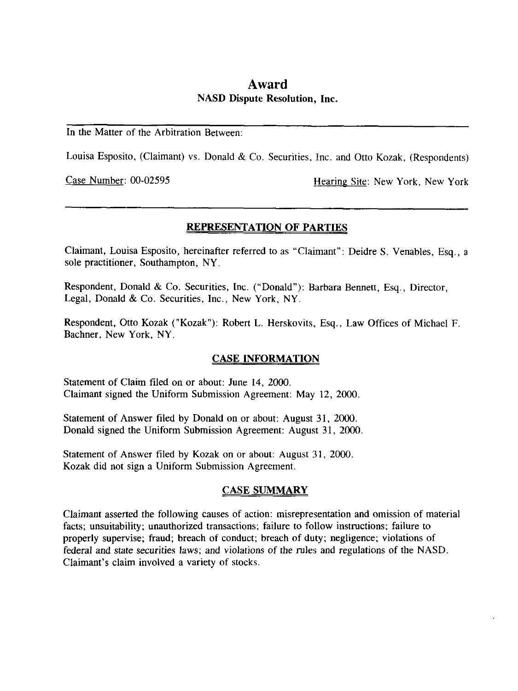# **Award**  NASD Dispute Resolution, **Inc.**

### In the Matter of the Arbitration Between:

Louisa Esposito, (Claimant) vs. Donald & Co. Securities, Inc. and Otto Kozak, (Respondents)

Case Number: 00-02595 lies and Hearing Site: New York, New York

# **REPRESENTATION OF PARTIES**

Claimant, Louisa Esposito, hereinafter referred to as "Claimant": Deidre *S.* Venables, Esq., a sole practitioner, Southampton, NY.

Respondent, Donald & Co. Securities, Inc. ("Donald"): Barbara Bennett, **Esq.,** Director, Legal, Donald & Co. Securities, Inc., New York, NY.

Respondent, Otto Kozak ("Kozak"): Robert L. Herskovits, Esq., Law Offices of Michael F. Bachner, New York, NY.

# **CASE INFORMATION**

Statement of Claim filed on or about: June 14, *2000.*  Claimant signed the Uniform Submission Agreement: May 12, 2000.

Statement of Answer filed by Donald on or about: August 31, 2000. Donald signed the Uniform Submission Agreement: August 31, 2000

Statement of Answer filed by Kozak on or about: August 31, 2000. Kozak did not sign a Uniform Submission Agreement.

# **CASE SUMMARY**

Claimant asserted the following causes of action: misrepresentation and omission of material facts; unsuitability; unauthorized transactions; failure to follow instructions; failure to properly supervise; fraud; breach of conduct; breach of duty; negligence; violations of federal and state securities laws; and violations of the rules and regulations of the NASD. Claimant's claim involved a variety of stocks.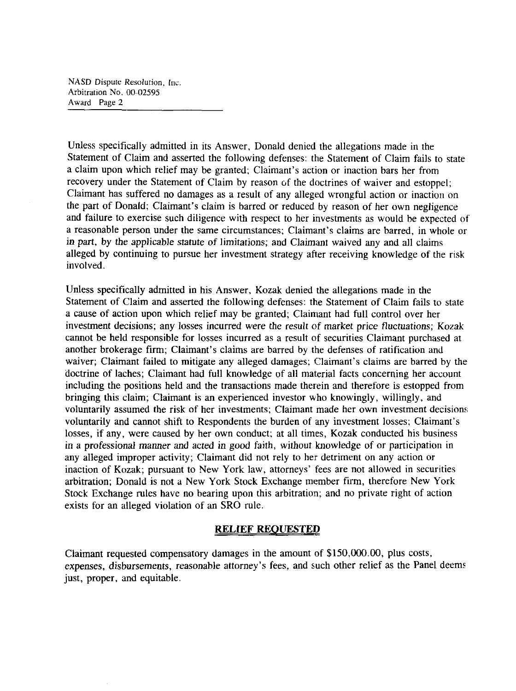NASD Dispute Resolution, Inc. Arbitration No. *00-02595*  **Award** Page **2** 

Unless specifically admitted in its Answer, Donald denied the allegations made in the Statement of Claim and asserted the following defenses: the Statement of Claim fails to state a claim upon which relief may be granted; Claimant's action or inaction bars her from recovery under the Statement of Claim by reason of the doctrines of waiver and estoppel; Claimant has suffered no damages as a result of any alleged wrongful action or inaction on the part of Donald; Claimant's claim is barred **or** reduced by reason of her own negligence and failure to exercise such diligence with respect to her investments as would be expected **of**  a reasonable person under the same circumstances; Claimant's claims are barred, in whole or in part, by the applicable statute **of** limitations; and Claimant waived any and all claims alleged by continuing to pursue her investment strategy after receiving knowledge of the risk involved.

Unless specifically admitted in his Answer, Kozak denied the allegations made in the Statement of Claim and asserted the following defenses: the Statement of Claim fails to state a cause of action upon which relief may be granted; Claimant had full control over her investment decisions; any losses incurred were the result of market price fluctuations; Kozak cannot be held responsible for losses incurred as a result of securities Claimant purchased at another brokerage **firm;** Claimant's claims are barred by the defenses of ratification and waiver; Claimant failed to mitigate any alleged damages; Claimant's claims are barred by the doctrine of laches; Claimant had full knowledge of all material facts concerning her account including the positions held and the transactions made therein and therefore is estopped from bringing this claim; Claimant is an experienced investor who knowingly, willingly, and voluntarily assumed the risk of her investments; Claimant made her own investment decision:: voluntarily and cannot shift to Respondents the burden **of** any investment losses; Claimant's losses, if any, were caused by her own conduct; at all times, Kozak conducted his business in a professional manner and acted in good faith, without knowledge of **or** participation in any alleged improper activity; Claimant did not rely to her detriment on any action **or**  inaction of Kozak; pursuant to New York law, attorneys' fees are not allowed in securities arbitration; Donald is not a New York Stock Exchange member firm, therefore New York Stock Exchange rules have no bearing upon this arbitration; and no private right of action exists for an alleged violation of an SRO rule.

#### **RELIEF REQUESTED**

Claimant requested compensatory damages in the amount of **\$150,000.00,** plus costs, expenses, disbursements, reasonable attorney's fees, and such other relief as the Panel deems just, proper, and equitable,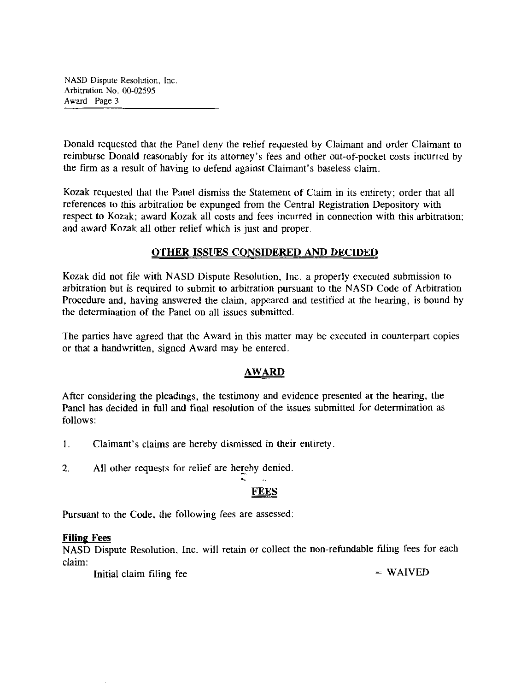**NASD** Dispute Resolution, Inc Arbitration No. **IN-02595**  Award **Page 3** 

Donald requested that the Panel deny the relief requested by Claimant and order Claimant **to**  reimburse Donald reasonably for its attorney's fees and other out-of-pocket costs incurred by the firm as a result of having to defend against Claimant's baseless claim.

Kozak requested that the Panel dismiss the Statement of Claim in its entirety; order that all references to this arbitration be expunged from the Central Registration Depository with respect **to** Kozak; award Kozak all costs and fees incurred in connection with this arbitration; and award Kozak all other relief which is just and proper.

# **OTHER ISSUES CONSIDERED AND DECIDED**

Kozak did not file with NASD Dispute Resolution, Inc. a properly executed submission to arbitration but is required **to** submit **to** arbitration pursuant to the NASD Code of Arbitration Procedure and, having answered the claim, appeared and testified at the hearing, is bound by the determination of the Panel on all issues submitted.

The parties have agreed that the Award in this matter may he executed in counterpart copies or that a handwritten, signed Award may he entered.

# **AWARD**

After considering *the* pleadings, the testimony and evidence presented at the hearing, the Panel has decided in full and final resolution of the issues submitted for determination as follows:

- 1. Claimant's claims are hereby dismissed in their entirety
- 2. All other requests for relief are hereby denied .. **I.**

Pursuant to the Code, the following fees are assessed:

#### **Filing Fees**

NASD Dispute Resolution, Inc. will retain or collect the non-refundable filing fees for each claim:

 $Initial claim filing fee$  = WAIVED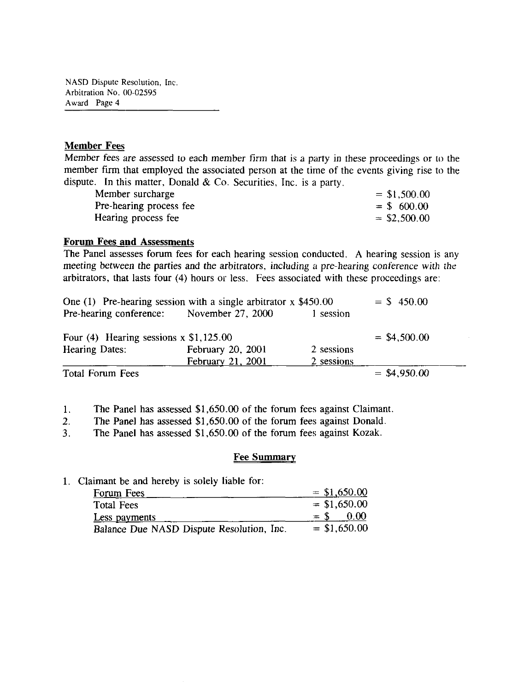NASD Dispute Resolution, Inc. Arbitration No. 00-02595 Award Page 4

#### **Member Fees**

Member fees are assessed to each member firm that is a party in these proceedings or to the member firm that employed the associated person at the time of the events giving rise to the dispute. In this matter, Donald  $& Co.$  Securities, Inc. is a party.

| Member surcharge        | $= $1,500.00$  |
|-------------------------|----------------|
| Pre-hearing process fee | $=$ \$ 600.00  |
| Hearing process fee     | $=$ \$2,500.00 |

#### **Forum Fees and Assessments**

The Panel assesses forum fees for each hearing session conducted. **A** hearing session is any meeting between the parties and the arbitrators, including a pre-hearing conference with the arbitrators, that lasts four (4) hours or less. Fees associated with these proceedings are:

| One (1) Pre-hearing session with a single arbitrator $x$ \$450.00 |                   | $=$ \$ 450.00 |                |
|-------------------------------------------------------------------|-------------------|---------------|----------------|
| Pre-hearing conference: November 27, 2000                         |                   | 1 session     |                |
| Four (4) Hearing sessions $x$ \$1,125.00                          |                   |               | $=$ \$4,500.00 |
| Hearing Dates:                                                    | February 20, 2001 | 2 sessions    |                |
|                                                                   | February 21, 2001 | 2 sessions    |                |
| Total Forum Fees                                                  |                   |               | $=$ \$4,950.00 |

1. The Panel has assessed \$1,650.00 of the forum fees against Claimant.

*2.* The Panel has assessed \$1,650.00 of the forum fees against Donald.

**3.** The Panel has assessed \$1,650.00 of the forum fees against Kozak.

#### **Fee Summary**

#### 1. Claimant be and hereby is solely liable for:

| Forum Fees                                | $=$ \$1,650.00 |
|-------------------------------------------|----------------|
| <b>Total Fees</b>                         | $=$ \$1,650.00 |
| Less payments                             | 0.00<br>$=$ S  |
| Balance Due NASD Dispute Resolution, Inc. | $=$ \$1,650.00 |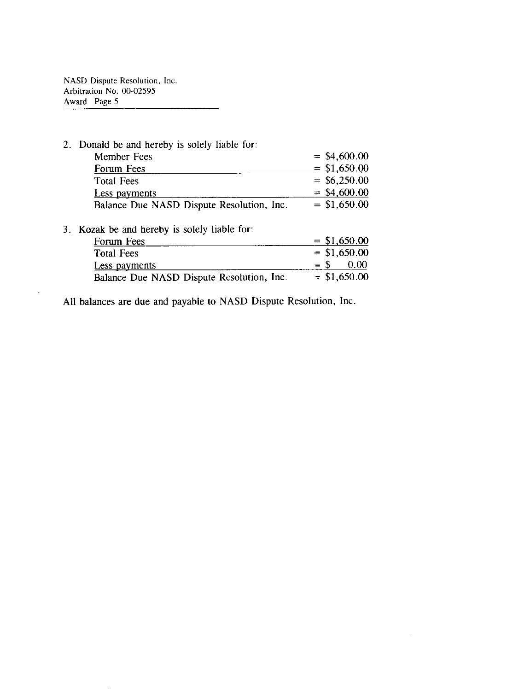NASD Dispute Resolution, Inc. Arbitration No. 00-02595 Award Page 5

 $\hat{\mathcal{A}}$ 

| 2. Donald be and hereby is solely liable for: |                |
|-----------------------------------------------|----------------|
| <b>Member Fees</b>                            | $=$ \$4,600.00 |
| Forum Fees                                    | $=$ \$1,650.00 |
| <b>Total Fees</b>                             | $=$ \$6,250.00 |
| Less payments                                 | $=$ \$4,600.00 |
| Balance Due NASD Dispute Resolution, Inc.     | $=$ \$1,650.00 |
| 3. Kozak be and hereby is solely liable for:  |                |
| Forum Fees                                    | $=$ \$1,650.00 |
| <b>Total Fees</b>                             | $=$ \$1,650.00 |
| Less payments                                 | $=$ \$<br>0.00 |
| Balance Due NASD Dispute Resolution, Inc.     | $=$ \$1,650.00 |

All balances are due and payable to NASD Dispute Resolution, Inc.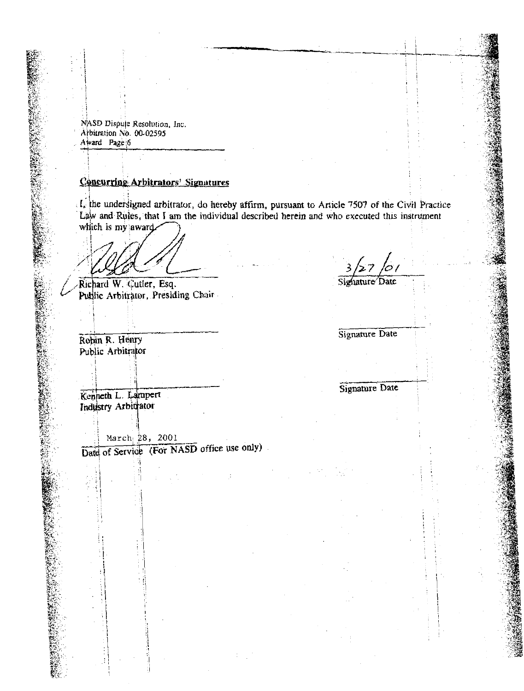NASD Dispute Resolution, Inc. Arbitration No. 00-02595 Award Page 6

# Concurring Arbitrators' Signatures

: I, the understigned arbitrator, do hereby affirm, pursuant to Article 7507 of the Civil Practice Law and Rules, that I am the individual described herein and who executed this instrument which is my award.

Richard W. Cutler, Esq. Public Arbitrator, Presiding Chair

Robin R. Henry Public Arbitrator

Signature Date

Signature Date

Signature Date

Kenneth L. Lampert Industry Arbitrator

March 28, 2001 Date of Service (For NASD office use only)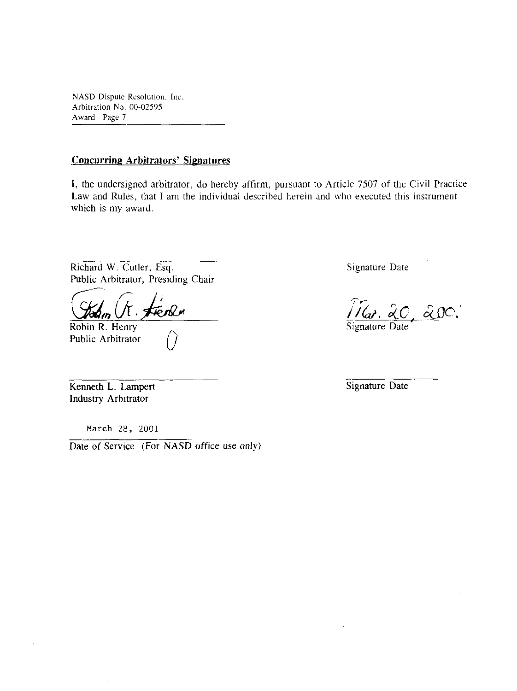NASD Dispute Resolution, Inc. Arbitration No. 00-02595 Award Page 7

## **Concurring Arbitrators' Signatures**

**I,** the undersigned arbitrator, do hereby affirm, pursuant to Article 7507 of the Civil Practice Law and Rules, that I am the individual described herein and who executed this instrument which is my award.

Richard W. Cutler, **Esq.** 

Public Arbitrator, Presiding Chair

Robin R. Henry<br>Public Arbitrator

Kenneth L. Lampert Industry Arbitrator

Ŷ,

**March** *28,* 2001

Date of Service (For NASD office use only)

Signature Date

 $\widehat{M}_{\alpha}$ . 20, 200.

Signature Date